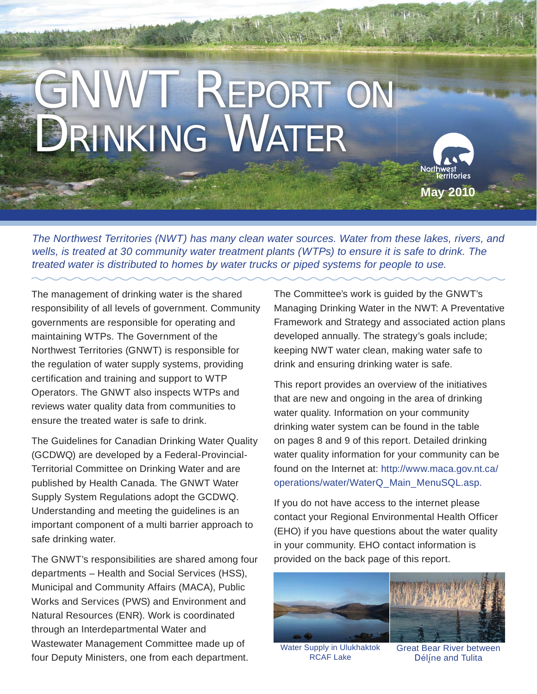# GNWT REPORT ON DRINKING WATER

**May 2010**

*The Northwest Territories (NWT) has many clean water sources. Water from these lakes, rivers, and wells, is treated at 30 community water treatment plants (WTPs) to ensure it is safe to drink. The treated water is distributed to homes by water trucks or piped systems for people to use.*

The management of drinking water is the shared responsibility of all levels of government. Community governments are responsible for operating and maintaining WTPs. The Government of the Northwest Territories (GNWT) is responsible for the regulation of water supply systems, providing certification and training and support to WTP Operators. The GNWT also inspects WTPs and reviews water quality data from communities to ensure the treated water is safe to drink.

The Guidelines for Canadian Drinking Water Quality (GCDWQ) are developed by a Federal-Provincial-Territorial Committee on Drinking Water and are published by Health Canada. The GNWT Water Supply System Regulations adopt the GCDWQ. Understanding and meeting the guidelines is an important component of a multi barrier approach to safe drinking water.

The GNWT's responsibilities are shared among four departments – Health and Social Services (HSS), Municipal and Community Affairs (MACA), Public Works and Services (PWS) and Environment and Natural Resources (ENR). Work is coordinated through an Interdepartmental Water and Wastewater Management Committee made up of four Deputy Ministers, one from each department.

The Committee's work is guided by the GNWT's Managing Drinking Water in the NWT: A Preventative Framework and Strategy and associated action plans developed annually. The strategy's goals include; keeping NWT water clean, making water safe to drink and ensuring drinking water is safe.

This report provides an overview of the initiatives that are new and ongoing in the area of drinking water quality. Information on your community drinking water system can be found in the table on pages 8 and 9 of this report. Detailed drinking water quality information for your community can be found on the Internet at: http://www.maca.gov.nt.ca/ operations/water/WaterQ\_Main\_MenuSQL.asp.

If you do not have access to the internet please contact your Regional Environmental Health Officer (EHO) if you have questions about the water quality in your community. EHO contact information is provided on the back page of this report.



Water Supply in Ulukhaktok RCAF Lake

Great Bear River between Délíne and Tulita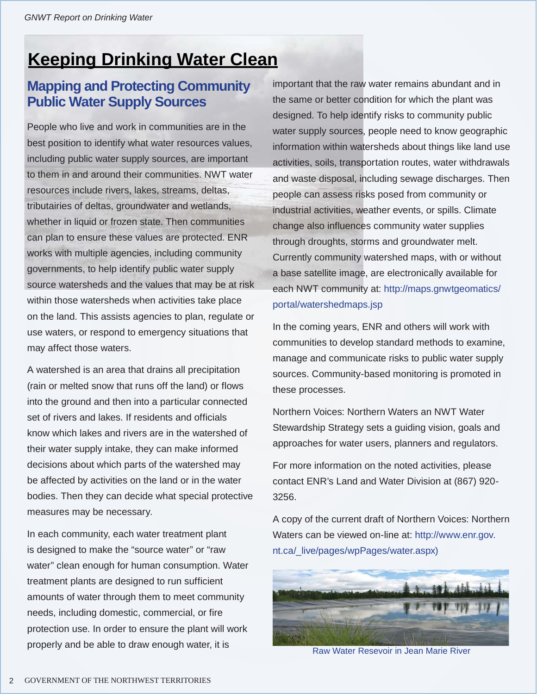# **Keeping Drinking Water Clean**

# **Mapping and Protecting Community Public Water Supply Sources**

People who live and work in communities are in the best position to identify what water resources values, including public water supply sources, are important to them in and around their communities. NWT water resources include rivers, lakes, streams, deltas, tributairies of deltas, groundwater and wetlands, whether in liquid or frozen state. Then communities can plan to ensure these values are protected. ENR works with multiple agencies, including community governments, to help identify public water supply source watersheds and the values that may be at risk within those watersheds when activities take place on the land. This assists agencies to plan, regulate or use waters, or respond to emergency situations that may affect those waters.

A watershed is an area that drains all precipitation (rain or melted snow that runs off the land) or flows into the ground and then into a particular connected set of rivers and lakes. If residents and officials know which lakes and rivers are in the watershed of their water supply intake, they can make informed decisions about which parts of the watershed may be affected by activities on the land or in the water bodies. Then they can decide what special protective measures may be necessary.

In each community, each water treatment plant is designed to make the "source water" or "raw water" clean enough for human consumption. Water treatment plants are designed to run sufficient amounts of water through them to meet community needs, including domestic, commercial, or fire protection use. In order to ensure the plant will work properly and be able to draw enough water, it is

important that the raw water remains abundant and in the same or better condition for which the plant was designed. To help identify risks to community public water supply sources, people need to know geographic information within watersheds about things like land use activities, soils, transportation routes, water withdrawals and waste disposal, including sewage discharges. Then people can assess risks posed from community or industrial activities, weather events, or spills. Climate change also influences community water supplies through droughts, storms and groundwater melt. Currently community watershed maps, with or without a base satellite image, are electronically available for each NWT community at: http://maps.gnwtgeomatics/ portal/watershedmaps.jsp

In the coming years, ENR and others will work with communities to develop standard methods to examine, manage and communicate risks to public water supply sources. Community-based monitoring is promoted in these processes.

Northern Voices: Northern Waters an NWT Water Stewardship Strategy sets a guiding vision, goals and approaches for water users, planners and regulators.

For more information on the noted activities, please contact ENR's Land and Water Division at (867) 920- 3256.

A copy of the current draft of Northern Voices: Northern Waters can be viewed on-line at: http://www.enr.gov. nt.ca/\_live/pages/wpPages/water.aspx)



Raw Water Resevoir in Jean Marie River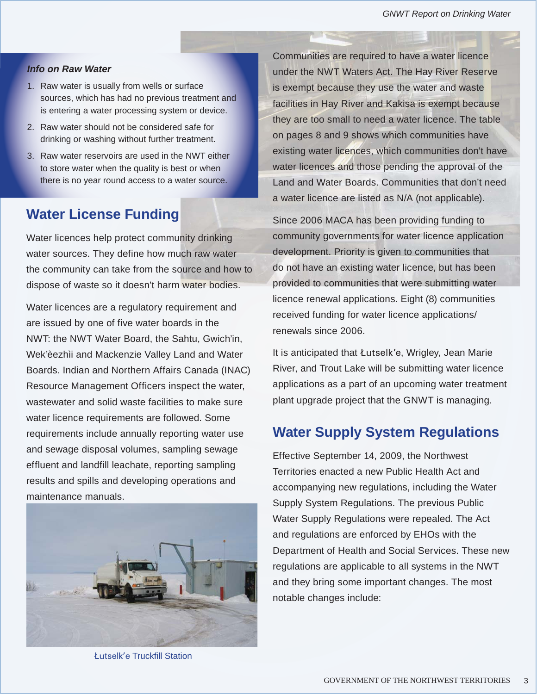#### *Info on Raw Water*

- 1. Raw water is usually from wells or surface sources, which has had no previous treatment and is entering a water processing system or device.
- 2. Raw water should not be considered safe for drinking or washing without further treatment.
- 3. Raw water reservoirs are used in the NWT either to store water when the quality is best or when there is no year round access to a water source.

# **Water License Funding**

Water licences help protect community drinking water sources. They define how much raw water the community can take from the source and how to dispose of waste so it doesn't harm water bodies.

Water licences are a regulatory requirement and are issued by one of five water boards in the NWT: the NWT Water Board, the Sahtu, Gwich'in, Wek'èezhìi and Mackenzie Valley Land and Water Boards. Indian and Northern Affairs Canada (INAC) Resource Management Officers inspect the water, wastewater and solid waste facilities to make sure water licence requirements are followed. Some requirements include annually reporting water use and sewage disposal volumes, sampling sewage effluent and landfill leachate, reporting sampling results and spills and developing operations and maintenance manuals.



Łutselk'e Truckfill Station

Communities are required to have a water licence under the NWT Waters Act. The Hay River Reserve is exempt because they use the water and waste facilities in Hay River and Kakisa is exempt because they are too small to need a water licence. The table on pages 8 and 9 shows which communities have existing water licences, which communities don't have water licences and those pending the approval of the Land and Water Boards. Communities that don't need a water licence are listed as N/A (not applicable).

Since 2006 MACA has been providing funding to community governments for water licence application development. Priority is given to communities that do not have an existing water licence, but has been provided to communities that were submitting water licence renewal applications. Eight (8) communities received funding for water licence applications/ renewals since 2006.

It is anticipated that Łutselk'e, Wrigley, Jean Marie River, and Trout Lake will be submitting water licence applications as a part of an upcoming water treatment plant upgrade project that the GNWT is managing.

## **Water Supply System Regulations**

Effective September 14, 2009, the Northwest Territories enacted a new Public Health Act and accompanying new regulations, including the Water Supply System Regulations. The previous Public Water Supply Regulations were repealed. The Act and regulations are enforced by EHOs with the Department of Health and Social Services. These new regulations are applicable to all systems in the NWT and they bring some important changes. The most notable changes include: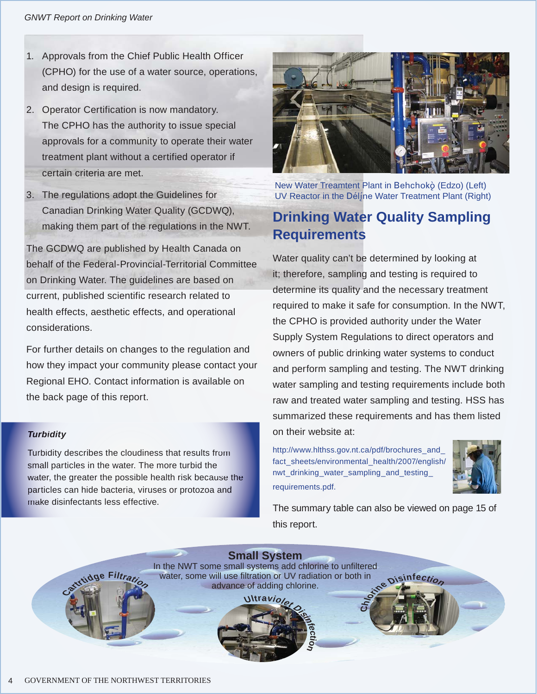- 1. Approvals from the Chief Public Health Officer (CPHO) for the use of a water source, operations, and design is required.
- 2. Operator Certification is now mandatory. The CPHO has the authority to issue special approvals for a community to operate their water treatment plant without a certified operator if certain criteria are met.
- 3. The regulations adopt the Guidelines for Canadian Drinking Water Quality (GCDWQ), making them part of the regulations in the NWT.

The GCDWQ are published by Health Canada on behalf of the Federal-Provincial-Territorial Committee on Drinking Water. The guidelines are based on current, published scientific research related to health effects, aesthetic effects, and operational considerations.

For further details on changes to the regulation and how they impact your community please contact your Regional EHO. Contact information is available on the back page of this report.

#### *Turbidity*

Turbidity describes the cloudiness that results from small particles in the water. The more turbid the water, the greater the possible health risk because the particles can hide bacteria, viruses or protozoa and make disinfectants less effective.



New Water Treamtent Plant in Behchokö (Edzo) (Left) UV Reactor in the Délíne Water Treatment Plant (Right)

# **Drinking Water Quality Sampling Requirements**

Water quality can't be determined by looking at it; therefore, sampling and testing is required to determine its quality and the necessary treatment required to make it safe for consumption. In the NWT, the CPHO is provided authority under the Water Supply System Regulations to direct operators and owners of public drinking water systems to conduct and perform sampling and testing. The NWT drinking water sampling and testing requirements include both raw and treated water sampling and testing. HSS has summarized these requirements and has them listed on their website at:

http://www.hlthss.gov.nt.ca/pdf/brochures\_and\_ fact\_sheets/environmental\_health/2007/english/ nwt\_drinking\_water\_sampling\_and\_testing\_ requirements.pdf.

 $\mathbf C$ 



The summary table can also be viewed on page 15 of this report.

**bisinfectio** 

**Small System** In the NWT some small systems add chlorine to unfiltered water, some will use filtration or UV radiation or both in advance of adding chlorine.



 $\frac{1}{2}$  **c F ilt**<sub>*r*</sub>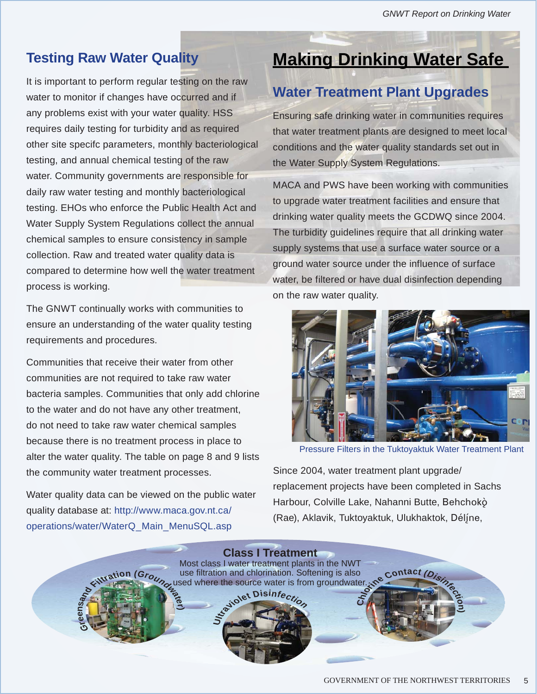# **Testing Raw Water Quality**

It is important to perform regular testing on the raw water to monitor if changes have occurred and if any problems exist with your water quality. HSS requires daily testing for turbidity and as required other site specifc parameters, monthly bacteriological testing, and annual chemical testing of the raw water. Community governments are responsible for daily raw water testing and monthly bacteriological testing. EHOs who enforce the Public Health Act and Water Supply System Regulations collect the annual chemical samples to ensure consistency in sample collection. Raw and treated water quality data is compared to determine how well the water treatment process is working.

The GNWT continually works with communities to ensure an understanding of the water quality testing requirements and procedures.

Communities that receive their water from other communities are not required to take raw water bacteria samples. Communities that only add chlorine to the water and do not have any other treatment, do not need to take raw water chemical samples because there is no treatment process in place to alter the water quality. The table on page 8 and 9 lists the community water treatment processes.

Water quality data can be viewed on the public water quality database at: http://www.maca.gov.nt.ca/ operations/water/WaterQ\_Main\_MenuSQL.asp

# **Making Drinking Water Safe**

# **Water Treatment Plant Upgrades**

Ensuring safe drinking water in communities requires that water treatment plants are designed to meet local conditions and the water quality standards set out in the Water Supply System Regulations.

MACA and PWS have been working with communities to upgrade water treatment facilities and ensure that drinking water quality meets the GCDWQ since 2004. The turbidity guidelines require that all drinking water supply systems that use a surface water source or a ground water source under the influence of surface water, be filtered or have dual disinfection depending on the raw water quality.



Pressure Filters in the Tuktoyaktuk Water Treatment Plant

Since 2004, water treatment plant upgrade/ replacement projects have been completed in Sachs Harbour, Colville Lake, Nahanni Butte, Behchokö (Rae), Aklavik, Tuktoyaktuk, Ulukhaktok, Déljne,

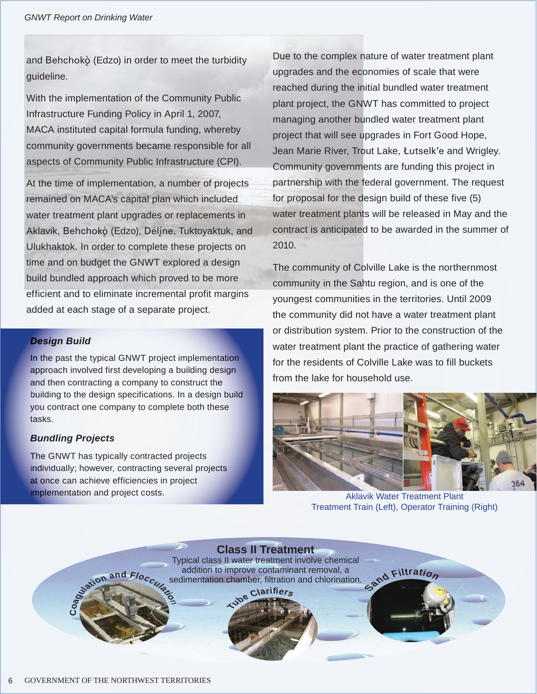and Behchokò (Edzo) in order to meet the turbidity guideline.

With the implementation of the Community Public Infrastructure Funding Policy in April 1, 2007, MACA instituted capital formula funding, whereby community governments became responsible for all aspects of Community Public Infrastructure (CPI).

At the time of implementation, a number of projects remained on MACA's capital plan which included water treatment plant upgrades or replacements in Aklavik, Behchokò (Edzo), Déljne, Tuktoyaktuk, and Ulukhaktok. In order to complete these projects on time and on budget the GNWT explored a design build bundled approach which proved to be more efficient and to eliminate incremental profit margins added at each stage of a separate project.

#### *Design Build*

In the past the typical GNWT project implementation approach involved first developing a building design and then contracting a company to construct the building to the design specifications. In a design build you contract one company to complete both these tasks.

#### *Bundling Projects*

The GNWT has typically contracted projects individually; however, contracting several projects at once can achieve efficiencies in project implementation and project costs. Aklavik Water Treatment Plant

Due to the complex nature of water treatment plant upgrades and the economies of scale that were reached during the initial bundled water treatment plant project, the GNWT has committed to project managing another bundled water treatment plant project that will see upgrades in Fort Good Hope, Jean Marie River, Trout Lake, Łutselk'e and Wrigley. Community governments are funding this project in partnership with the federal government. The request for proposal for the design build of these five (5) water treatment plants will be released in May and the contract is anticipated to be awarded in the summer of 2010.

The community of Colville Lake is the northernmost community in the Sahtu region, and is one of the youngest communities in the territories. Until 2009 the community did not have a water treatment plant or distribution system. Prior to the construction of the water treatment plant the practice of gathering water for the residents of Colville Lake was to fill buckets from the lake for household use.



Treatment Train (Left), Operator Training (Right)

**San<sup>d</sup> <sup>F</sup>iltratio<sup>n</sup> c**<br>**c**<sup>o</sup>**d**<br>**c**<br>**c**<br>**c**<br>**c Class II Treatment**  Typical class II water treatment involve chemical addition to improve contaminant removal, a sedimentation chamber, filtration and chlorination.

**Tub<sup>e</sup> <sup>C</sup>larifier<sup>s</sup>**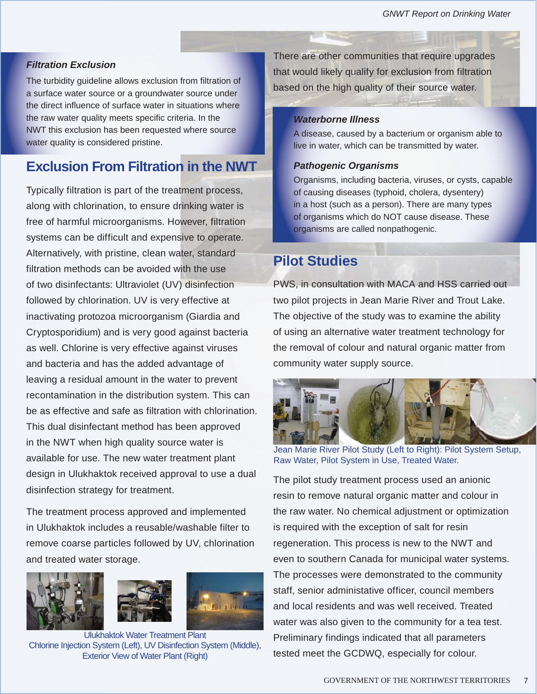#### *Filtration Exclusion*

The turbidity guideline allows exclusion from filtration of a surface water source or a groundwater source under the direct influence of surface water in situations where the raw water quality meets specific criteria. In the NWT this exclusion has been requested where source water quality is considered pristine.

# **Exclusion From Filtration in the NWT**

Typically filtration is part of the treatment process, along with chlorination, to ensure drinking water is free of harmful microorganisms. However, filtration systems can be difficult and expensive to operate. Alternatively, with pristine, clean water, standard filtration methods can be avoided with the use of two disinfectants: Ultraviolet (UV) disinfection followed by chlorination. UV is very effective at inactivating protozoa microorganism (Giardia and Cryptosporidium) and is very good against bacteria as well. Chlorine is very effective against viruses and bacteria and has the added advantage of leaving a residual amount in the water to prevent recontamination in the distribution system. This can be as effective and safe as filtration with chlorination. This dual disinfectant method has been approved in the NWT when high quality source water is available for use. The new water treatment plant design in Ulukhaktok received approval to use a dual disinfection strategy for treatment.

The treatment process approved and implemented in Ulukhaktok includes a reusable/washable filter to remove coarse particles followed by UV, chlorination and treated water storage.







Ulukhaktok Water Treatment Plant Chlorine Injection System (Left), UV Disinfection System (Middle), Exterior View of Water Plant (Right)

There are other communities that require upgrades that would likely qualify for exclusion from filtration based on the high quality of their source water.

#### *Waterborne Illness*

A disease, caused by a bacterium or organism able to live in water, which can be transmitted by water.

#### *Pathogenic Organisms*

Organisms, including bacteria, viruses, or cysts, capable of causing diseases (typhoid, cholera, dysentery) in a host (such as a person). There are many types of organisms which do NOT cause disease. These organisms are called nonpathogenic.

### **Pilot Studies**

PWS, in consultation with MACA and HSS carried out two pilot projects in Jean Marie River and Trout Lake. The objective of the study was to examine the ability of using an alternative water treatment technology for the removal of colour and natural organic matter from community water supply source.



Jean Marie River Pilot Study (Left to Right): Pilot System Setup, Raw Water, Pilot System in Use, Treated Water.

The pilot study treatment process used an anionic resin to remove natural organic matter and colour in the raw water. No chemical adjustment or optimization is required with the exception of salt for resin regeneration. This process is new to the NWT and even to southern Canada for municipal water systems. The processes were demonstrated to the community staff, senior administative officer, council members and local residents and was well received. Treated water was also given to the community for a tea test. Preliminary findings indicated that all parameters tested meet the GCDWQ, especially for colour.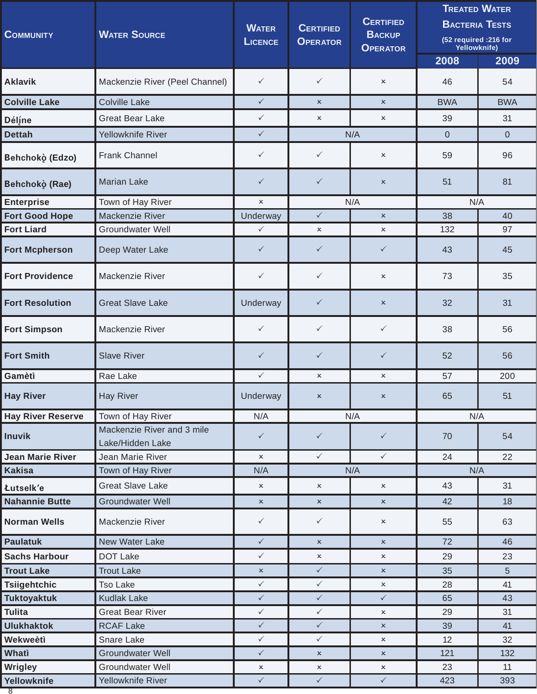| <b>COMMUNITY</b>         | <b>WATER SOURCE</b>                            |                           | <b>CERTIFIED</b><br><b>OPERATOR</b> | <b>CERTIFIED</b><br><b>BACKUP</b><br><b>OPERATOR</b> | <b>TREATED WATER</b><br><b>BACTERIA TESTS</b><br>(52 required : 216 for<br>Yellowknife) |            |
|--------------------------|------------------------------------------------|---------------------------|-------------------------------------|------------------------------------------------------|-----------------------------------------------------------------------------------------|------------|
|                          |                                                |                           |                                     |                                                      | 2008                                                                                    | 2009       |
| <b>Aklavik</b>           | Mackenzie River (Peel Channel)                 | $\checkmark$              | $\checkmark$                        | $\boldsymbol{\mathsf{x}}$                            | 46                                                                                      | 54         |
| <b>Colville Lake</b>     | <b>Colville Lake</b>                           | $\checkmark$              | $\boldsymbol{\mathsf{x}}$           | $\pmb{\times}$                                       | <b>BWA</b>                                                                              | <b>BWA</b> |
| Déline                   | <b>Great Bear Lake</b>                         | $\checkmark$              | $\pmb{\times}$                      | $\pmb{\times}$                                       | 39                                                                                      | 31         |
| <b>Dettah</b>            | Yellowknife River                              | $\checkmark$              |                                     | N/A                                                  | $\overline{0}$                                                                          | $\Omega$   |
| Behchokò (Edzo)          | <b>Frank Channel</b>                           | $\checkmark$              | $\checkmark$                        | ×                                                    | 59                                                                                      | 96         |
| Behchokò (Rae)           | <b>Marian Lake</b>                             | $\checkmark$              | $\checkmark$                        | $\pmb{\times}$                                       | 51                                                                                      | 81         |
| <b>Enterprise</b>        | Town of Hay River                              | $\boldsymbol{\mathsf{x}}$ |                                     | N/A                                                  | N/A                                                                                     |            |
| <b>Fort Good Hope</b>    | Mackenzie River                                | Underway                  | $\checkmark$                        | $\pmb{\times}$                                       | 38                                                                                      | 40         |
| <b>Fort Liard</b>        | <b>Groundwater Well</b>                        | $\checkmark$              | $\pmb{\times}$                      | $\boldsymbol{\mathsf{x}}$                            | 132                                                                                     | 97         |
| <b>Fort Mcpherson</b>    | Deep Water Lake                                | $\checkmark$              | $\checkmark$                        | $\checkmark$                                         | 43                                                                                      | 45         |
| <b>Fort Providence</b>   | Mackenzie River                                | $\checkmark$              | $\checkmark$                        | $\pmb{\times}$                                       | 73                                                                                      | 35         |
| <b>Fort Resolution</b>   | <b>Great Slave Lake</b>                        | Underway                  | $\checkmark$                        | $\pmb{\times}$                                       | 32                                                                                      | 31         |
| <b>Fort Simpson</b>      | Mackenzie River                                | $\checkmark$              | $\checkmark$                        | $\checkmark$                                         | 38                                                                                      | 56         |
| <b>Fort Smith</b>        | <b>Slave River</b>                             | $\checkmark$              | $\checkmark$                        | $\checkmark$                                         | 52                                                                                      | 56         |
| Gamètì                   | Rae Lake                                       | $\checkmark$              | $\pmb{\times}$                      | $\boldsymbol{\mathsf{x}}$                            | 57                                                                                      | 200        |
| <b>Hay River</b>         | <b>Hay River</b>                               | Underway                  | x                                   | $\boldsymbol{\mathsf{x}}$                            | 65                                                                                      | 51         |
| <b>Hay River Reserve</b> | Town of Hay River                              | N/A                       |                                     | N/A                                                  | N/A                                                                                     |            |
| <b>Inuvik</b>            | Mackenzie River and 3 mile<br>Lake/Hidden Lake | $\checkmark$              | $\checkmark$                        | $\checkmark$                                         | 70                                                                                      | 54         |
| <b>Jean Marie River</b>  | Jean Marie River                               | $\boldsymbol{\mathsf{x}}$ | $\checkmark$                        | $\checkmark$                                         | 24                                                                                      | 22         |
| <b>Kakisa</b>            | Town of Hay River                              | N/A                       |                                     | N/A                                                  | N/A                                                                                     |            |
| Łutselk'e                | <b>Great Slave Lake</b>                        | $\boldsymbol{\mathsf{x}}$ | $\pmb{\times}$                      | $\boldsymbol{\mathsf{x}}$                            | 43                                                                                      | 31         |
| <b>Nahannie Butte</b>    | <b>Groundwater Well</b>                        | $\pmb{\times}$            | $\mathsf{x}$                        | $\pmb{\times}$                                       | 42                                                                                      | 18         |
| <b>Norman Wells</b>      | Mackenzie River                                | $\checkmark$              | $\checkmark$                        | $\boldsymbol{\mathsf{x}}$                            | 55                                                                                      | 63         |
| <b>Paulatuk</b>          | New Water Lake                                 | $\checkmark$              | $\pmb{\times}$                      | $\boldsymbol{\mathsf{x}}$                            | 72                                                                                      | 46         |
| <b>Sachs Harbour</b>     | <b>DOT Lake</b>                                | $\checkmark$              | $\mathsf{x}$                        | $\pmb{\times}$                                       | 29                                                                                      | 23         |
| <b>Trout Lake</b>        | <b>Trout Lake</b>                              | $\pmb{\times}$            | $\checkmark$                        | $\pmb{\times}$                                       | 35                                                                                      | 5          |
| Tsiigehtchic             | <b>Tso Lake</b>                                | $\checkmark$              | $\checkmark$                        | $\mathsf{x}$                                         | 28                                                                                      | 41         |
| <b>Tuktoyaktuk</b>       | <b>Kudlak Lake</b>                             | $\checkmark$              | $\checkmark$                        | $\checkmark$                                         | 65                                                                                      | 43         |
| <b>Tulita</b>            | <b>Great Bear River</b>                        | $\checkmark$              | $\checkmark$                        | $\boldsymbol{\mathsf{x}}$                            | 29                                                                                      | 31         |
| <b>Ulukhaktok</b>        | <b>RCAF Lake</b>                               | $\checkmark$              | $\checkmark$                        | $\pmb{\times}$                                       | 39                                                                                      | 41         |
| Wekweètì                 | Snare Lake                                     | $\checkmark$              | $\checkmark$                        | $\boldsymbol{\mathsf{x}}$                            | 12                                                                                      | 32         |
| Whati                    | <b>Groundwater Well</b>                        | $\checkmark$              | $\pmb{\times}$                      | $\pmb{\times}$                                       | 121                                                                                     | 132        |
| <b>Wrigley</b>           | Groundwater Well                               | $\boldsymbol{\mathsf{x}}$ | $\mathsf{x}$                        | $\pmb{\times}$                                       | 23                                                                                      | 11         |
| Yellowknife<br>8         | Yellowknife River                              | $\checkmark$              | $\checkmark$                        | $\checkmark$                                         | 423                                                                                     | 393        |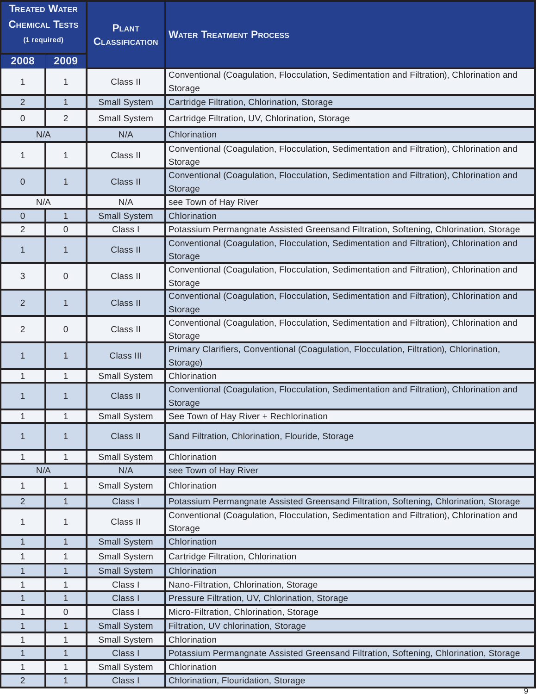| <b>TREATED WATER</b><br><b>CHEMICAL TESTS</b><br>(1 required) |                | <b>PLANT</b><br><b>CLASSIFICATION</b> | <b>WATER TREATMENT PROCESS</b>                                                                      |
|---------------------------------------------------------------|----------------|---------------------------------------|-----------------------------------------------------------------------------------------------------|
| 2008                                                          | 2009           |                                       |                                                                                                     |
| 1                                                             | 1              | Class II                              | Conventional (Coagulation, Flocculation, Sedimentation and Filtration), Chlorination and<br>Storage |
| 2                                                             | $\mathbf{1}$   | <b>Small System</b>                   | Cartridge Filtration, Chlorination, Storage                                                         |
| 0                                                             | 2              | <b>Small System</b>                   | Cartridge Filtration, UV, Chlorination, Storage                                                     |
| N/A                                                           |                | N/A                                   | Chlorination                                                                                        |
| 1                                                             | $\mathbf 1$    | Class II                              | Conventional (Coagulation, Flocculation, Sedimentation and Filtration), Chlorination and<br>Storage |
| 0                                                             | 1              | <b>Class II</b>                       | Conventional (Coagulation, Flocculation, Sedimentation and Filtration), Chlorination and<br>Storage |
| N/A                                                           |                | N/A                                   | see Town of Hay River                                                                               |
| 0                                                             | $\mathbf{1}$   | <b>Small System</b>                   | Chlorination                                                                                        |
| $\overline{2}$                                                | $\overline{0}$ | Class I                               | Potassium Permangnate Assisted Greensand Filtration, Softening, Chlorination, Storage               |
| 1                                                             | 1              | Class II                              | Conventional (Coagulation, Flocculation, Sedimentation and Filtration), Chlorination and<br>Storage |
| 3                                                             | $\overline{0}$ | Class II                              | Conventional (Coagulation, Flocculation, Sedimentation and Filtration), Chlorination and<br>Storage |
| 2                                                             | 1              | Class II                              | Conventional (Coagulation, Flocculation, Sedimentation and Filtration), Chlorination and<br>Storage |
| 2                                                             | $\overline{0}$ | Class II                              | Conventional (Coagulation, Flocculation, Sedimentation and Filtration), Chlorination and<br>Storage |
| 1                                                             | 1              | Class III                             | Primary Clarifiers, Conventional (Coagulation, Flocculation, Filtration), Chlorination,<br>Storage) |
| 1                                                             | 1              | Small System                          | Chlorination                                                                                        |
|                                                               |                | Class II                              | Conventional (Coagulation, Flocculation, Sedimentation and Filtration), Chlorination and<br>Storage |
| 1                                                             | $\mathbf{1}$   | Small System                          | See Town of Hay River + Rechlorination                                                              |
| 1                                                             | 1              | Class II                              | Sand Filtration, Chlorination, Flouride, Storage                                                    |
| 1                                                             | $\mathbf{1}$   | Small System                          | Chlorination                                                                                        |
| N/A                                                           |                | N/A                                   | see Town of Hay River                                                                               |
| 1                                                             | $\mathbf{1}$   | Small System                          | Chlorination                                                                                        |
| 2                                                             | $\mathbf{1}$   | Class I                               | Potassium Permangnate Assisted Greensand Filtration, Softening, Chlorination, Storage               |
| 1                                                             | 1              | Class II                              | Conventional (Coagulation, Flocculation, Sedimentation and Filtration), Chlorination and<br>Storage |
| $\mathbf 1$                                                   | $\mathbf{1}$   | <b>Small System</b>                   | Chlorination                                                                                        |
| 1                                                             | $\mathbf{1}$   | Small System                          | Cartridge Filtration, Chlorination                                                                  |
| 1                                                             | 1              | <b>Small System</b>                   | Chlorination                                                                                        |
| 1                                                             | $\mathbf{1}$   | Class I                               | Nano-Filtration, Chlorination, Storage                                                              |
| 1                                                             | $\mathbf{1}$   | Class I                               | Pressure Filtration, UV, Chlorination, Storage                                                      |
| 1                                                             | $\overline{0}$ | Class I                               | Micro-Filtration, Chlorination, Storage                                                             |
| 1                                                             | 1              | <b>Small System</b>                   | Filtration, UV chlorination, Storage                                                                |
| 1                                                             | $\mathbf{1}$   | Small System                          | Chlorination                                                                                        |
| 1                                                             | $\mathbf{1}$   | Class I                               | Potassium Permangnate Assisted Greensand Filtration, Softening, Chlorination, Storage               |
| 1                                                             | $\mathbf{1}$   | Small System                          | Chlorination                                                                                        |
| $\overline{2}$                                                | $\overline{1}$ | Class I                               | Chlorination, Flouridation, Storage                                                                 |

9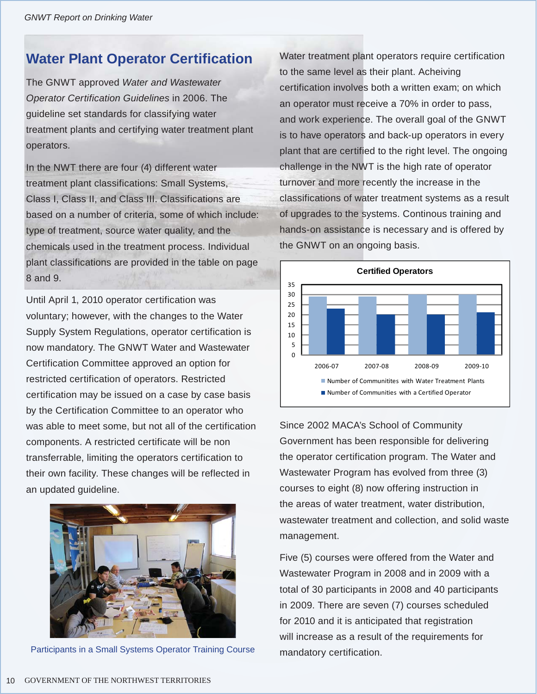# **Water Plant Operator Certification**

The GNWT approved *Water and Wastewater Operator Certification Guidelines* in 2006. The guideline set standards for classifying water treatment plants and certifying water treatment plant operators.

In the NWT there are four (4) different water treatment plant classifications: Small Systems, Class I, Class II, and Class III. Classifications are based on a number of criteria, some of which include: type of treatment, source water quality, and the chemicals used in the treatment process. Individual plant classifications are provided in the table on page 8 and 9.

Until April 1, 2010 operator certification was voluntary; however, with the changes to the Water Supply System Regulations, operator certification is now mandatory. The GNWT Water and Wastewater Certification Committee approved an option for restricted certification of operators. Restricted certification may be issued on a case by case basis by the Certification Committee to an operator who was able to meet some, but not all of the certification components. A restricted certificate will be non transferrable, limiting the operators certification to their own facility. These changes will be reflected in an updated guideline.



Participants in a Small Systems Operator Training Course

Water treatment plant operators require certification to the same level as their plant. Acheiving certification involves both a written exam; on which an operator must receive a 70% in order to pass, and work experience. The overall goal of the GNWT is to have operators and back-up operators in every plant that are certified to the right level. The ongoing challenge in the NWT is the high rate of operator turnover and more recently the increase in the classifications of water treatment systems as a result of upgrades to the systems. Continous training and hands-on assistance is necessary and is offered by the GNWT on an ongoing basis.



Since 2002 MACA's School of Community Government has been responsible for delivering the operator certification program. The Water and Wastewater Program has evolved from three (3) courses to eight (8) now offering instruction in the areas of water treatment, water distribution, wastewater treatment and collection, and solid waste management.

Five (5) courses were offered from the Water and Wastewater Program in 2008 and in 2009 with a total of 30 participants in 2008 and 40 participants in 2009. There are seven (7) courses scheduled for 2010 and it is anticipated that registration will increase as a result of the requirements for mandatory certification.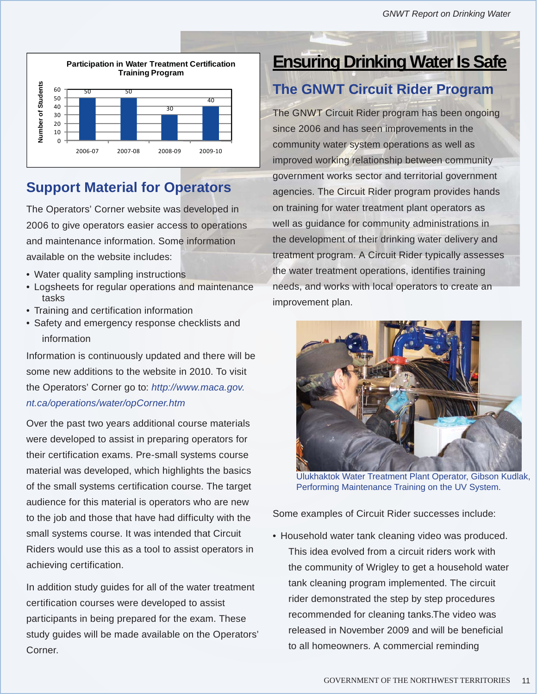

# **Support Material for Operators**

The Operators' Corner website was developed in 2006 to give operators easier access to operations and maintenance information. Some information available on the website includes:

- Water quality sampling instructions
- Logsheets for regular operations and maintenance tasks
- Training and certification information
- Safety and emergency response checklists and information

Information is continuously updated and there will be some new additions to the website in 2010. To visit the Operators' Corner go to: *http://www.maca.gov. nt.ca/operations/water/opCorner.htm*

Over the past two years additional course materials were developed to assist in preparing operators for their certification exams. Pre-small systems course material was developed, which highlights the basics of the small systems certification course. The target audience for this material is operators who are new to the job and those that have had difficulty with the small systems course. It was intended that Circuit Riders would use this as a tool to assist operators in achieving certification.

In addition study guides for all of the water treatment certification courses were developed to assist participants in being prepared for the exam. These study guides will be made available on the Operators' Corner.

# **Ensuring Drinking Water Is Safe**

# **The GNWT Circuit Rider Program**

The GNWT Circuit Rider program has been ongoing since 2006 and has seen improvements in the community water system operations as well as improved working relationship between community government works sector and territorial government agencies. The Circuit Rider program provides hands on training for water treatment plant operators as well as guidance for community administrations in the development of their drinking water delivery and treatment program. A Circuit Rider typically assesses the water treatment operations, identifies training needs, and works with local operators to create an improvement plan.



Ulukhaktok Water Treatment Plant Operator, Gibson Kudlak, Performing Maintenance Training on the UV System.

Some examples of Circuit Rider successes include:

• Household water tank cleaning video was produced. This idea evolved from a circuit riders work with the community of Wrigley to get a household water tank cleaning program implemented. The circuit rider demonstrated the step by step procedures recommended for cleaning tanks.The video was released in November 2009 and will be beneficial to all homeowners. A commercial reminding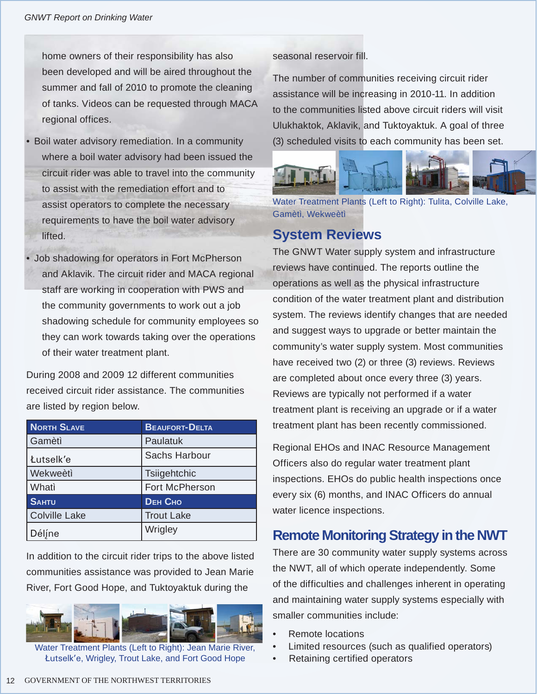home owners of their responsibility has also been developed and will be aired throughout the summer and fall of 2010 to promote the cleaning of tanks. Videos can be requested through MACA regional offices.

- Boil water advisory remediation. In a community where a boil water advisory had been issued the circuit rider was able to travel into the community to assist with the remediation effort and to assist operators to complete the necessary requirements to have the boil water advisory lifted.
- Job shadowing for operators in Fort McPherson and Aklavik. The circuit rider and MACA regional staff are working in cooperation with PWS and the community governments to work out a job shadowing schedule for community employees so they can work towards taking over the operations of their water treatment plant.

During 2008 and 2009 12 different communities received circuit rider assistance. The communities are listed by region below.

| <b>NORTH SLAVE</b>   | <b>BEAUFORT-DELTA</b> |
|----------------------|-----------------------|
| Gamètì               | Paulatuk              |
| Łutselk'e            | Sachs Harbour         |
| Wekweètì             | Tsiigehtchic          |
| Whati                | Fort McPherson        |
| <b>SAHTU</b>         | <b>DEH СНО</b>        |
| <b>Colville Lake</b> | <b>Trout Lake</b>     |
| Déljne               | Wrigley               |

In addition to the circuit rider trips to the above listed communities assistance was provided to Jean Marie River, Fort Good Hope, and Tuktoyaktuk during the



Water Treatment Plants (Left to Right): Jean Marie River, Åutselk'e, Wrigley, Trout Lake, and Fort Good Hope

seasonal reservoir fill.

The number of communities receiving circuit rider assistance will be increasing in 2010-11. In addition to the communities listed above circuit riders will visit Ulukhaktok, Aklavik, and Tuktoyaktuk. A goal of three (3) scheduled visits to each community has been set.



Water Treatment Plants (Left to Right): Tulita, Colville Lake, Gamètì, Wekweètì

## **System Reviews**

The GNWT Water supply system and infrastructure reviews have continued. The reports outline the operations as well as the physical infrastructure condition of the water treatment plant and distribution system. The reviews identify changes that are needed and suggest ways to upgrade or better maintain the community's water supply system. Most communities have received two (2) or three (3) reviews. Reviews are completed about once every three (3) years. Reviews are typically not performed if a water treatment plant is receiving an upgrade or if a water treatment plant has been recently commissioned.

Regional EHOs and INAC Resource Management Officers also do regular water treatment plant inspections. EHOs do public health inspections once every six (6) months, and INAC Officers do annual water licence inspections.

# **Remote Monitoring Strategy in the NWT**

There are 30 community water supply systems across the NWT, all of which operate independently. Some of the difficulties and challenges inherent in operating and maintaining water supply systems especially with smaller communities include:

- Remote locations
- Limited resources (such as qualified operators)
- Retaining certified operators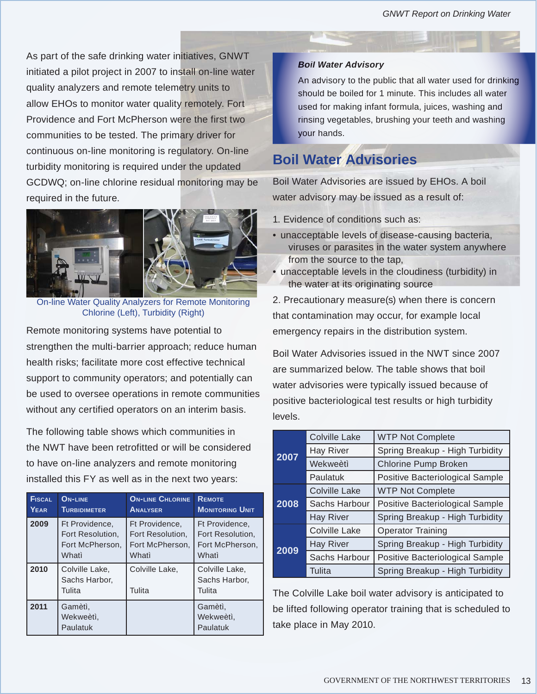As part of the safe drinking water initiatives, GNWT initiated a pilot project in 2007 to install on-line water quality analyzers and remote telemetry units to allow EHOs to monitor water quality remotely. Fort Providence and Fort McPherson were the first two communities to be tested. The primary driver for continuous on-line monitoring is regulatory. On-line turbidity monitoring is required under the updated GCDWQ; on-line chlorine residual monitoring may be required in the future.



On-line Water Quality Analyzers for Remote Monitoring Chlorine (Left), Turbidity (Right)

Remote monitoring systems have potential to strengthen the multi-barrier approach; reduce human health risks; facilitate more cost effective technical support to community operators; and potentially can be used to oversee operations in remote communities without any certified operators on an interim basis.

The following table shows which communities in the NWT have been retrofitted or will be considered to have on-line analyzers and remote monitoring installed this FY as well as in the next two years:

| <b>FISCAL</b> | <b>ON-LINE</b>                            | <b>ON-LINE CHLORINE</b>  | <b>REMOTE</b>                             |
|---------------|-------------------------------------------|--------------------------|-------------------------------------------|
| YEAR          | <b>TURBIDIMETER</b>                       | <b>ANALYSER</b>          | <b>MONITORING UNIT</b>                    |
| 2009          | Ft Providence,                            | Ft Providence,           | Ft Providence,                            |
|               | Fort Resolution,                          | Fort Resolution.         | Fort Resolution.                          |
|               | Fort McPherson,                           | Fort McPherson,          | Fort McPherson,                           |
|               | Whati                                     | Whati                    | Whati                                     |
| 2010          | Colville Lake,<br>Sachs Harbor,<br>Tulita | Colville Lake,<br>Tulita | Colville Lake,<br>Sachs Harbor,<br>Tulita |
| 2011          | Gamètì.<br>Wekweètì.<br>Paulatuk          |                          | Gamètì.<br>Wekweètì,<br>Paulatuk          |

#### *Boil Water Advisory*

An advisory to the public that all water used for drinking should be boiled for 1 minute. This includes all water used for making infant formula, juices, washing and rinsing vegetables, brushing your teeth and washing your hands.

# **Boil Water Advisories**

Boil Water Advisories are issued by EHOs. A boil water advisory may be issued as a result of:

- 1.Evidence of conditions such as:
- unacceptable levels of disease-causing bacteria, viruses or parasites in the water system anywhere from the source to the tap,
- unacceptable levels in the cloudiness (turbidity) in the water at its originating source

2. Precautionary measure(s) when there is concern that contamination may occur, for example local emergency repairs in the distribution system.

Boil Water Advisories issued in the NWT since 2007 are summarized below. The table shows that boil water advisories were typically issued because of positive bacteriological test results or high turbidity levels.

|      | <b>Colville Lake</b> | <b>WTP Not Complete</b>         |  |
|------|----------------------|---------------------------------|--|
| 2007 | <b>Hay River</b>     | Spring Breakup - High Turbidity |  |
|      | Wekweètì             | <b>Chlorine Pump Broken</b>     |  |
|      | Paulatuk             | Positive Bacteriological Sample |  |
|      | Colville Lake        | <b>WTP Not Complete</b>         |  |
| 2008 | Sachs Harbour        | Positive Bacteriological Sample |  |
|      | <b>Hay River</b>     | Spring Breakup - High Turbidity |  |
|      | Colville Lake        | <b>Operator Training</b>        |  |
| 2009 | <b>Hay River</b>     | Spring Breakup - High Turbidity |  |
|      | Sachs Harbour        | Positive Bacteriological Sample |  |
|      | Tulita               | Spring Breakup - High Turbidity |  |

The Colville Lake boil water advisory is anticipated to be lifted following operator training that is scheduled to take place in May 2010.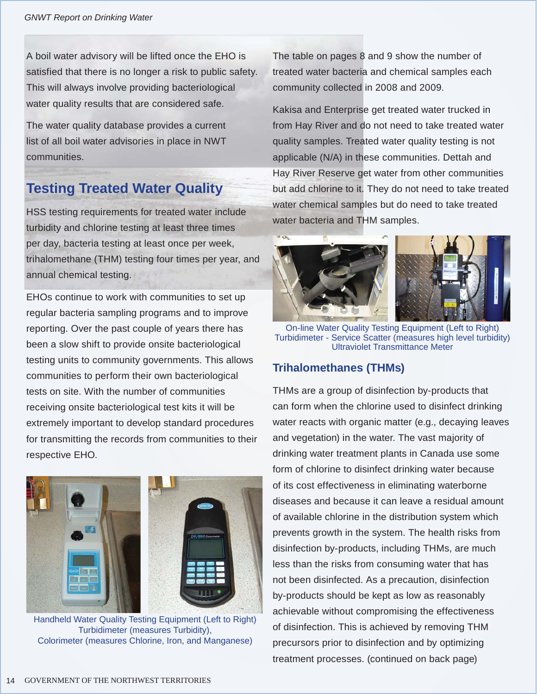A boil water advisory will be lifted once the EHO is satisfied that there is no longer a risk to public safety. This will always involve providing bacteriological water quality results that are considered safe.

The water quality database provides a current list of all boil water advisories in place in NWT communities.

# **Testing Treated Water Quality**

HSS testing requirements for treated water include turbidity and chlorine testing at least three times per day, bacteria testing at least once per week, trihalomethane (THM) testing four times per year, and annual chemical testing.

EHOs continue to work with communities to set up regular bacteria sampling programs and to improve reporting. Over the past couple of years there has been a slow shift to provide onsite bacteriological testing units to community governments. This allows communities to perform their own bacteriological tests on site. With the number of communities receiving onsite bacteriological test kits it will be extremely important to develop standard procedures for transmitting the records from communities to their respective EHO.



Handheld Water Quality Testing Equipment (Left to Right) Turbidimeter (measures Turbidity), Colorimeter (measures Chlorine, Iron, and Manganese)

The table on pages 8 and 9 show the number of treated water bacteria and chemical samples each community collected in 2008 and 2009.

Kakisa and Enterprise get treated water trucked in from Hay River and do not need to take treated water quality samples. Treated water quality testing is not applicable (N/A) in these communities. Dettah and Hay River Reserve get water from other communities but add chlorine to it. They do not need to take treated water chemical samples but do need to take treated water bacteria and THM samples.



On-line Water Quality Testing Equipment (Left to Right) Turbidimeter - Service Scatter (measures high level turbidity) Ultraviolet Transmittance Meter

## **Trihalomethanes (THMs)**

THMs are a group of disinfection by-products that can form when the chlorine used to disinfect drinking water reacts with organic matter (e.g., decaying leaves and vegetation) in the water. The vast majority of drinking water treatment plants in Canada use some form of chlorine to disinfect drinking water because of its cost effectiveness in eliminating waterborne diseases and because it can leave a residual amount of available chlorine in the distribution system which prevents growth in the system. The health risks from disinfection by-products, including THMs, are much less than the risks from consuming water that has not been disinfected. As a precaution, disinfection by-products should be kept as low as reasonably achievable without compromising the effectiveness of disinfection. This is achieved by removing THM precursors prior to disinfection and by optimizing treatment processes. (continued on back page)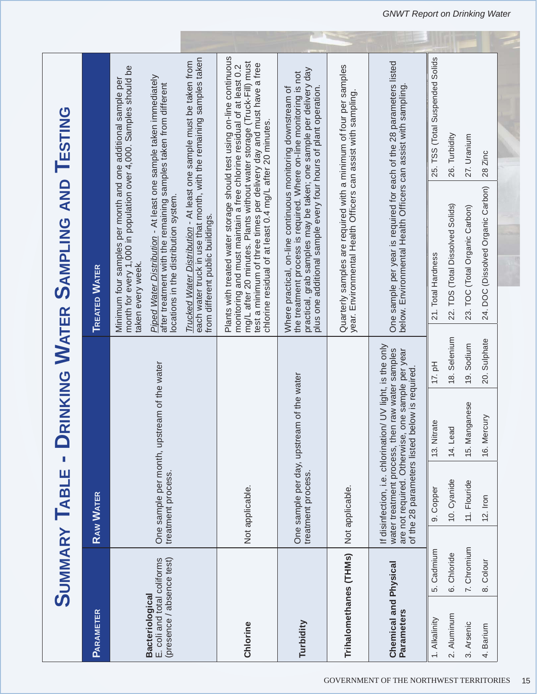|                                                                                    |             | <b>SUMMARY TABLE -</b>                                                                                                                                                                          |                    |              | RINKING WATER SAMPLING AND TESTING                                                                                              |                                                                                                                                                                                                                                                                                                                                                             |
|------------------------------------------------------------------------------------|-------------|-------------------------------------------------------------------------------------------------------------------------------------------------------------------------------------------------|--------------------|--------------|---------------------------------------------------------------------------------------------------------------------------------|-------------------------------------------------------------------------------------------------------------------------------------------------------------------------------------------------------------------------------------------------------------------------------------------------------------------------------------------------------------|
| <b>PARAMETER</b>                                                                   |             | <b>RAW WATER</b>                                                                                                                                                                                |                    |              | <b>TREATED WATER</b>                                                                                                            |                                                                                                                                                                                                                                                                                                                                                             |
| E. coli and total coliforms<br>(presence / absence test)<br><b>Bacteriological</b> |             | One sample per month, upstream of the water<br>treatment process.                                                                                                                               |                    |              | after treatment with the remaining samples taken from different<br>locations in the distribution system.<br>taken every week.   | each water truck in use that month, with the remaining samples taken<br>Trucked Water Distribution - At least one sample must be taken from<br>month for every 1,000 in population over 4,000. Samples should be<br>Piped Water Distribution - At least one sample taken immediately<br>Minimum four samples per month and one additional sample per        |
| Chlorine                                                                           |             | Not applicable.                                                                                                                                                                                 |                    |              | from different public buildings.                                                                                                | Plants with treated water storage should test using on-line continuous<br>mg/L after 20 minutes. Plants without water storage (Truck-Fill) must<br>test a minimum of three times per delivery day and must have a free<br>chlorine residual of at least 0.4 mg/L after 20 minutes.<br>monitoring and must maintain a free chlorine residual of at least 0.2 |
| Turbidity                                                                          |             | One sample per day, upstream of the water<br>treatment process.                                                                                                                                 |                    |              | plus one additional sample every four hours of plant operation.<br>Where practical, on-line continuous monitoring downstream of | practical, grab samples may be taken; one sample per delivery day<br>the treatment process is required. Where on-line monitoring is not                                                                                                                                                                                                                     |
| Trihalomethanes (THMs)                                                             |             | Not applicable.                                                                                                                                                                                 |                    |              | year. Environmental Health Officers can assist with sampling.                                                                   | Quarterly samples are required with a minimum of four per samples                                                                                                                                                                                                                                                                                           |
| Chemical and Physical<br>Parameters                                                |             | If disinfection, i.e. chlorination/ UV light, is the only<br>water treatment process, then raw water samples<br>are not required. Otherwise, one sample per year<br>of the 28 parameters listed | below is required. |              | below. Environmental Health Officers can assist with sampling                                                                   | One sample per year is required for each of the 28 parameters listed                                                                                                                                                                                                                                                                                        |
| 1. Alkalinity                                                                      | 5. Cadmium  | 9. Copper                                                                                                                                                                                       | 13. Nitrate        | $17.$ pH     | 21. Total Hardness                                                                                                              | 25. TSS (Total Suspended Solids                                                                                                                                                                                                                                                                                                                             |
| 2. Aluminum                                                                        | 6. Chloride | 10. Cyanide                                                                                                                                                                                     | 14. Lead           | 18. Selenium | 22. TDS (Total Dissolved Solids)                                                                                                | 26. Turbidity                                                                                                                                                                                                                                                                                                                                               |
| 3. Arsenic                                                                         | 7. Chromium | 11. Flouride                                                                                                                                                                                    | 15. Manganese      | 19. Sodium   | 23. TOC (Total Organic Carbon)                                                                                                  | 27. Uranium                                                                                                                                                                                                                                                                                                                                                 |
| 4. Barium                                                                          | 8. Colour   | $12.$ Iron                                                                                                                                                                                      | ercury<br>16. M    | 20. Sulphate | 24. DOC (Dissolved Organic Carbon)                                                                                              | 28 Zinc                                                                                                                                                                                                                                                                                                                                                     |
|                                                                                    |             |                                                                                                                                                                                                 |                    |              |                                                                                                                                 |                                                                                                                                                                                                                                                                                                                                                             |